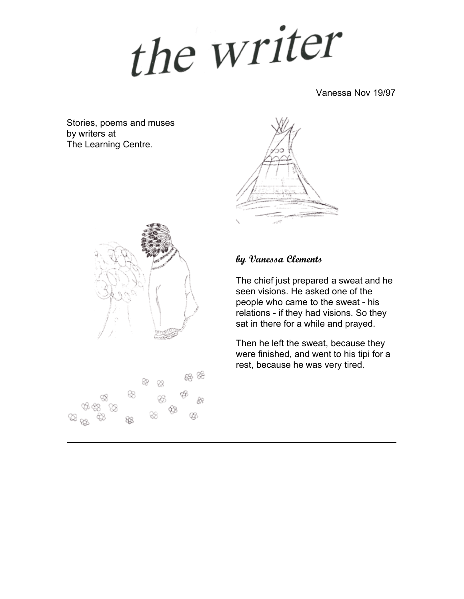the writer

Vanessa Nov 19/97

Stories, poems and muses by writers at The Learning Centre.





සු %ි

### **by Vanessa Clements**

The chief just prepared a sweat and he seen visions. He asked one of the people who came to the sweat - his relations - if they had visions. So they sat in there for a while and prayed.

Then he left the sweat, because they were finished, and went to his tipi for a rest, because he was very tired.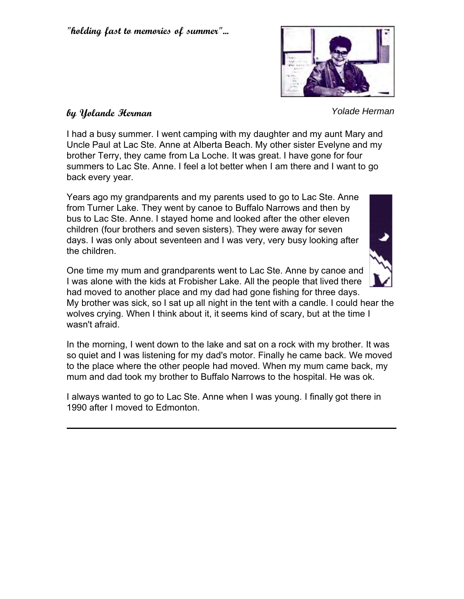

*Yolade Herman*

#### **by Yolande Herman**

I had a busy summer. I went camping with my daughter and my aunt Mary and Uncle Paul at Lac Ste. Anne at Alberta Beach. My other sister Evelyne and my brother Terry, they came from La Loche. It was great. I have gone for four summers to Lac Ste. Anne. I feel a lot better when I am there and I want to go back every year.

Years ago my grandparents and my parents used to go to Lac Ste. Anne from Turner Lake. They went by canoe to Buffalo Narrows and then by bus to Lac Ste. Anne. I stayed home and looked after the other eleven children (four brothers and seven sisters). They were away for seven days. I was only about seventeen and I was very, very busy looking after the children.



One time my mum and grandparents went to Lac Ste. Anne by canoe and I was alone with the kids at Frobisher Lake. All the people that lived there had moved to another place and my dad had gone fishing for three days.

My brother was sick, so I sat up all night in the tent with a candle. I could hear the wolves crying. When I think about it, it seems kind of scary, but at the time I wasn't afraid.

In the morning, I went down to the lake and sat on a rock with my brother. It was so quiet and I was listening for my dad's motor. Finally he came back. We moved to the place where the other people had moved. When my mum came back, my mum and dad took my brother to Buffalo Narrows to the hospital. He was ok.

I always wanted to go to Lac Ste. Anne when I was young. I finally got there in 1990 after I moved to Edmonton.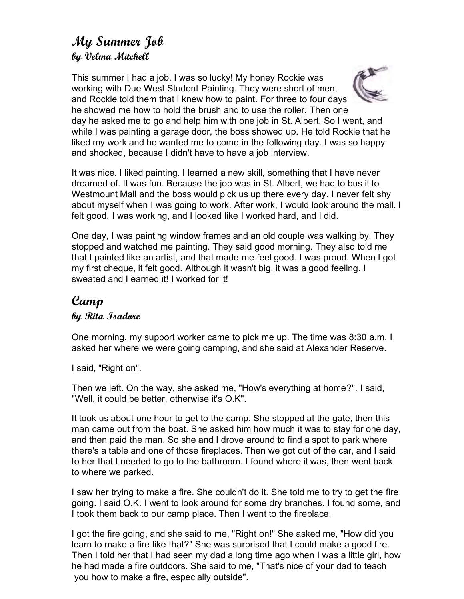# **My Summer Job by Velma Mitchell**

This summer I had a job. I was so lucky! My honey Rockie was working with Due West Student Painting. They were short of men, and Rockie told them that I knew how to paint. For three to four days he showed me how to hold the brush and to use the roller. Then one day he asked me to go and help him with one job in St. Albert. So I went, and while I was painting a garage door, the boss showed up. He told Rockie that he liked my work and he wanted me to come in the following day. I was so happy and shocked, because I didn't have to have a job interview.

It was nice. I liked painting. I learned a new skill, something that I have never dreamed of. It was fun. Because the job was in St. Albert, we had to bus it to Westmount Mall and the boss would pick us up there every day. I never felt shy about myself when I was going to work. After work, I would look around the mall. I felt good. I was working, and I looked like I worked hard, and I did.

One day, I was painting window frames and an old couple was walking by. They stopped and watched me painting. They said good morning. They also told me that I painted like an artist, and that made me feel good. I was proud. When I got my first cheque, it felt good. Although it wasn't big, it was a good feeling. I sweated and I earned it! I worked for it!

# **Camp**

#### **by Rita Isadore**

One morning, my support worker came to pick me up. The time was 8:30 a.m. I asked her where we were going camping, and she said at Alexander Reserve.

I said, "Right on".

Then we left. On the way, she asked me, "How's everything at home?". I said, "Well, it could be better, otherwise it's O.K".

It took us about one hour to get to the camp. She stopped at the gate, then this man came out from the boat. She asked him how much it was to stay for one day, and then paid the man. So she and I drove around to find a spot to park where there's a table and one of those fireplaces. Then we got out of the car, and I said to her that I needed to go to the bathroom. I found where it was, then went back to where we parked.

I saw her trying to make a fire. She couldn't do it. She told me to try to get the fire going. I said O.K. I went to look around for some dry branches. I found some, and I took them back to our camp place. Then I went to the fireplace.

I got the fire going, and she said to me, "Right on!" She asked me, "How did you learn to make a fire like that?" She was surprised that I could make a good fire. Then I told her that I had seen my dad a long time ago when I was a little girl, how he had made a fire outdoors. She said to me, "That's nice of your dad to teach you how to make a fire, especially outside".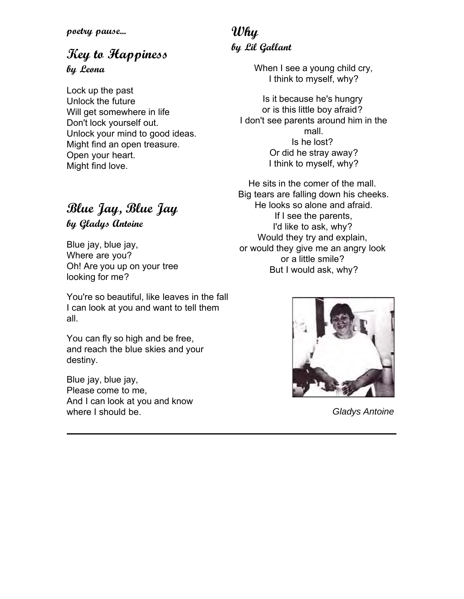# **Key to Happiness**

**by Leona**

Lock up the past Unlock the future Will get somewhere in life Don't lock yourself out. Unlock your mind to good ideas. Might find an open treasure. Open your heart. Might find love.

# **Blue Jay, Blue Jay by Gladys Antoine**

Blue jay, blue jay, Where are you? Oh! Are you up on your tree looking for me?

You're so beautiful, like leaves in the fall I can look at you and want to tell them all.

You can fly so high and be free, and reach the blue skies and your destiny.

Blue jay, blue jay, Please come to me, And I can look at you and know where I should be.

# **Why by Lil Gallant**

When I see a young child cry, I think to myself, why?

Is it because he's hungry or is this little boy afraid? I don't see parents around him in the mall. Is he lost? Or did he stray away? I think to myself, why?

He sits in the comer of the mall. Big tears are falling down his cheeks. He looks so alone and afraid. If I see the parents, I'd like to ask, why? Would they try and explain, or would they give me an angry look or a little smile? But I would ask, why?



*Gladys Antoine*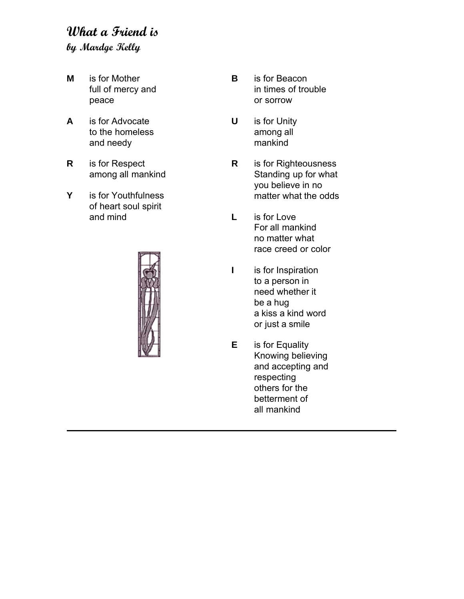# **What a Friend is by Mardge Kelly**

- **M** is for Mother full of mercy and peace
- **A** is for Advocate to the homeless and needy
- **R** is for Respect among all mankind
- **Y** is for Youthfulness of heart soul spirit and mind



- **B** is for Beacon in times of trouble or sorrow
- **U** is for Unity among all mankind
- **R** is for Righteousness Standing up for what you believe in no matter what the odds
- **L** is for Love For all mankind no matter what race creed or color
- **I** is for Inspiration to a person in need whether it be a hug a kiss a kind word or just a smile
- **E** is for Equality Knowing believing and accepting and respecting others for the betterment of all mankind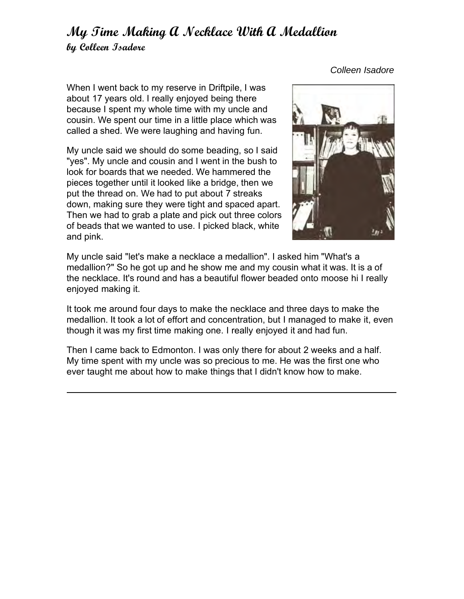# **My Time Making A Necklace With A Medallion by Colleen Isadore**

When I went back to my reserve in Driftpile, I was about 17 years old. I really enjoyed being there because I spent my whole time with my uncle and cousin. We spent our time in a little place which was called a shed. We were laughing and having fun.

My uncle said we should do some beading, so I said "yes". My uncle and cousin and I went in the bush to look for boards that we needed. We hammered the pieces together until it looked like a bridge, then we put the thread on. We had to put about 7 streaks down, making sure they were tight and spaced apart. Then we had to grab a plate and pick out three colors of beads that we wanted to use. I picked black, white and pink.



My uncle said "let's make a necklace a medallion". I asked him "What's a medallion?" So he got up and he show me and my cousin what it was. It is a of the necklace. It's round and has a beautiful flower beaded onto moose hi I really enjoyed making it.

It took me around four days to make the necklace and three days to make the medallion. It took a lot of effort and concentration, but I managed to make it, even though it was my first time making one. I really enjoyed it and had fun.

Then I came back to Edmonton. I was only there for about 2 weeks and a half. My time spent with my uncle was so precious to me. He was the first one who ever taught me about how to make things that I didn't know how to make.

*Colleen Isadore*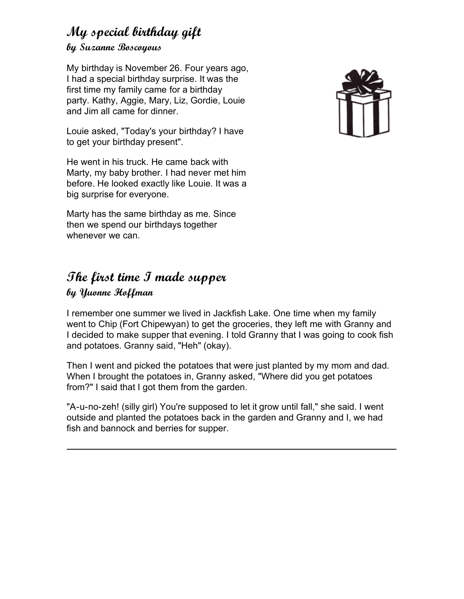### **My special birthday gift by Suzanne Boscoyous**

My birthday is November 26. Four years ago, I had a special birthday surprise. It was the first time my family came for a birthday party. Kathy, Aggie, Mary, Liz, Gordie, Louie and Jim all came for dinner.

Louie asked, "Today's your birthday? I have to get your birthday present".

He went in his truck. He came back with Marty, my baby brother. I had never met him before. He looked exactly like Louie. It was a big surprise for everyone.

Marty has the same birthday as me. Since then we spend our birthdays together whenever we can.

# **The first time I made supper**

#### **by Yuonne Hoffman**

I remember one summer we lived in Jackfish Lake. One time when my family went to Chip (Fort Chipewyan) to get the groceries, they left me with Granny and I decided to make supper that evening. I told Granny that I was going to cook fish and potatoes. Granny said, "Heh" (okay).

Then I went and picked the potatoes that were just planted by my mom and dad. When I brought the potatoes in, Granny asked, "Where did you get potatoes from?" I said that I got them from the garden.

"A-u-no-zeh! (silly girl) You're supposed to let it grow until fall," she said. I went outside and planted the potatoes back in the garden and Granny and I, we had fish and bannock and berries for supper.

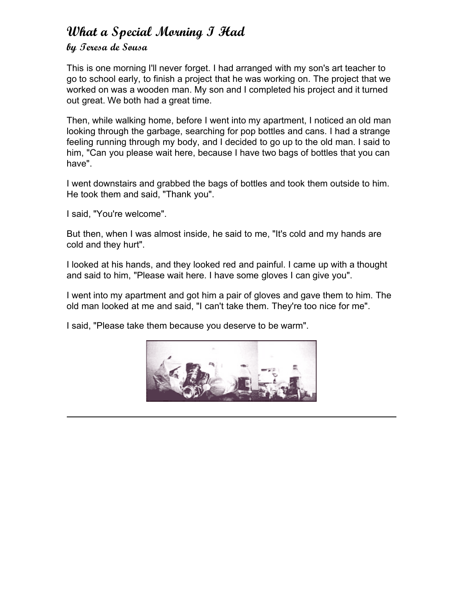# **What a Special Morning I Had**

### **by Teresa de Sousa**

This is one morning I'll never forget. I had arranged with my son's art teacher to go to school early, to finish a project that he was working on. The project that we worked on was a wooden man. My son and I completed his project and it turned out great. We both had a great time.

Then, while walking home, before I went into my apartment, I noticed an old man looking through the garbage, searching for pop bottles and cans. I had a strange feeling running through my body, and I decided to go up to the old man. I said to him, "Can you please wait here, because I have two bags of bottles that you can have".

I went downstairs and grabbed the bags of bottles and took them outside to him. He took them and said, "Thank you".

I said, "You're welcome".

But then, when I was almost inside, he said to me, "It's cold and my hands are cold and they hurt".

I looked at his hands, and they looked red and painful. I came up with a thought and said to him, "Please wait here. I have some gloves I can give you".

I went into my apartment and got him a pair of gloves and gave them to him. The old man looked at me and said, "I can't take them. They're too nice for me".

I said, "Please take them because you deserve to be warm".

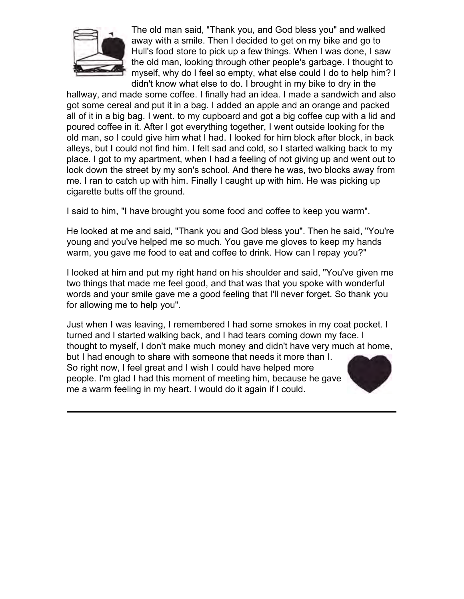

The old man said, "Thank you, and God bless you" and walked away with a smile. Then I decided to get on my bike and go to Hull's food store to pick up a few things. When I was done, I saw the old man, looking through other people's garbage. I thought to myself, why do I feel so empty, what else could I do to help him? I didn't know what else to do. I brought in my bike to dry in the

hallway, and made some coffee. I finally had an idea. I made a sandwich and also got some cereal and put it in a bag. I added an apple and an orange and packed all of it in a big bag. I went. to my cupboard and got a big coffee cup with a lid and poured coffee in it. After I got everything together, I went outside looking for the old man, so I could give him what I had. I looked for him block after block, in back alleys, but I could not find him. I felt sad and cold, so I started walking back to my place. I got to my apartment, when I had a feeling of not giving up and went out to look down the street by my son's school. And there he was, two blocks away from me. I ran to catch up with him. Finally I caught up with him. He was picking up cigarette butts off the ground.

I said to him, "I have brought you some food and coffee to keep you warm".

He looked at me and said, "Thank you and God bless you". Then he said, "You're young and you've helped me so much. You gave me gloves to keep my hands warm, you gave me food to eat and coffee to drink. How can I repay you?"

I looked at him and put my right hand on his shoulder and said, "You've given me two things that made me feel good, and that was that you spoke with wonderful words and your smile gave me a good feeling that I'll never forget. So thank you for allowing me to help you".

Just when I was leaving, I remembered I had some smokes in my coat pocket. I turned and I started walking back, and I had tears coming down my face. I thought to myself, I don't make much money and didn't have very much at home, but I had enough to share with someone that needs it more than I. So right now, I feel great and I wish I could have helped more people. I'm glad I had this moment of meeting him, because he gave me a warm feeling in my heart. I would do it again if I could.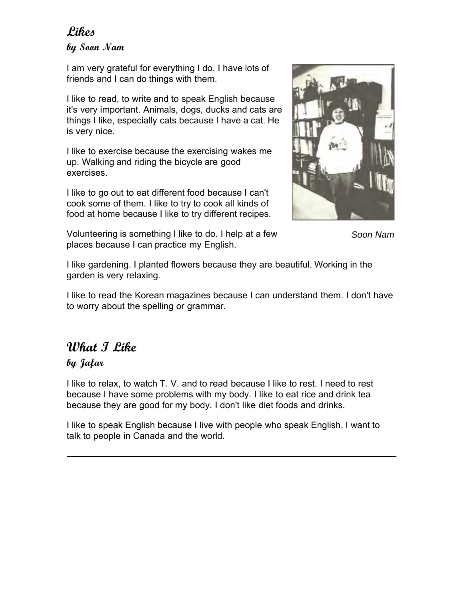### **Likes**

**by Soon Nam**

I am very grateful for everything I do. I have lots of friends and I can do things with them.

I like to read, to write and to speak English because it's very important. Animals, dogs, ducks and cats are things I like, especially cats because I have a cat. He is very nice.

I like to exercise because the exercising wakes me up. Walking and riding the bicycle are good exercises.

I like to go out to eat different food because I can't cook some of them. I like to try to cook all kinds of food at home because I like to try different recipes.



*Soon Nam*

Volunteering is something I like to do. I help at a few places because I can practice my English.

I like gardening. I planted flowers because they are beautiful. Working in the garden is very relaxing.

I like to read the Korean magazines because I can understand them. I don't have to worry about the spelling or grammar.

# **What I Like**

### **by Jafar**

I like to relax, to watch T. V. and to read because I like to rest. I need to rest because I have some problems with my body. I like to eat rice and drink tea because they are good for my body. I don't like diet foods and drinks.

I like to speak English because I live with people who speak English. I want to talk to people in Canada and the world.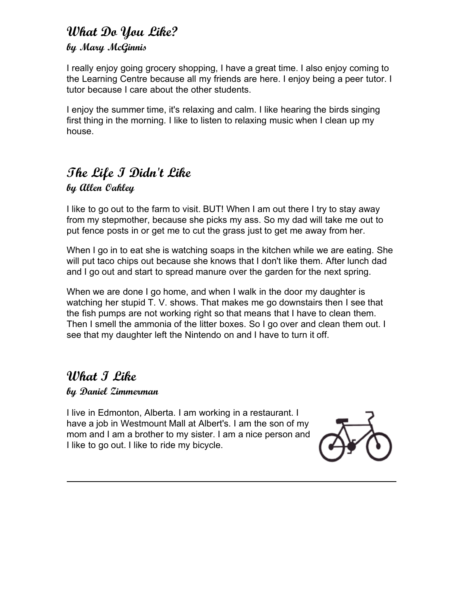### **What Do You Like? by Mary McGinnis**

I really enjoy going grocery shopping, I have a great time. I also enjoy coming to the Learning Centre because all my friends are here. I enjoy being a peer tutor. I tutor because I care about the other students.

I enjoy the summer time, it's relaxing and calm. I like hearing the birds singing first thing in the morning. I like to listen to relaxing music when I clean up my house.

# **The Life I Didn't Like**

### **by Allen Oakley**

I like to go out to the farm to visit. BUT! When I am out there I try to stay away from my stepmother, because she picks my ass. So my dad will take me out to put fence posts in or get me to cut the grass just to get me away from her.

When I go in to eat she is watching soaps in the kitchen while we are eating. She will put taco chips out because she knows that I don't like them. After lunch dad and I go out and start to spread manure over the garden for the next spring.

When we are done I go home, and when I walk in the door my daughter is watching her stupid T. V. shows. That makes me go downstairs then I see that the fish pumps are not working right so that means that I have to clean them. Then I smell the ammonia of the litter boxes. So I go over and clean them out. I see that my daughter left the Nintendo on and I have to turn it off.

# **What I Like**

#### **by Daniel Zimmerman**

I live in Edmonton, Alberta. I am working in a restaurant. I have a job in Westmount Mall at Albert's. I am the son of my mom and I am a brother to my sister. I am a nice person and I like to go out. I like to ride my bicycle.

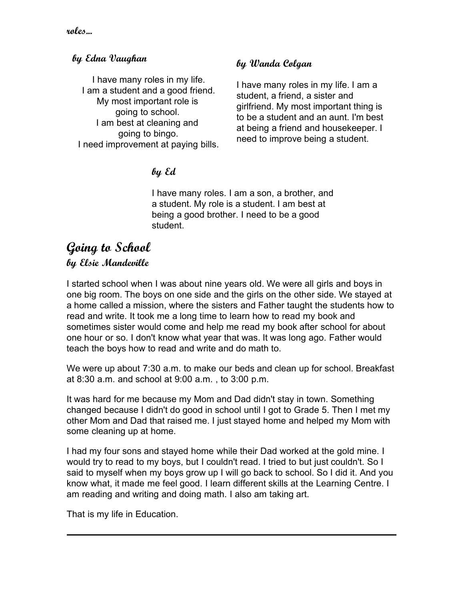#### **by Edna Vaughan**

I have many roles in my life. I am a student and a good friend. My most important role is going to school. I am best at cleaning and going to bingo. I need improvement at paying bills.

### **by Wanda Colgan**

I have many roles in my life. I am a student, a friend, a sister and girlfriend. My most important thing is to be a student and an aunt. I'm best at being a friend and housekeeper. I need to improve being a student.

### **by Ed**

I have many roles. I am a son, a brother, and a student. My role is a student. I am best at being a good brother. I need to be a good student.

### **Going to School by Elsie Mandeville**

I started school when I was about nine years old. We were all girls and boys in one big room. The boys on one side and the girls on the other side. We stayed at a home called a mission, where the sisters and Father taught the students how to read and write. It took me a long time to learn how to read my book and sometimes sister would come and help me read my book after school for about one hour or so. I don't know what year that was. It was long ago. Father would teach the boys how to read and write and do math to.

We were up about 7:30 a.m. to make our beds and clean up for school. Breakfast at 8:30 a.m. and school at 9:00 a.m. , to 3:00 p.m.

It was hard for me because my Mom and Dad didn't stay in town. Something changed because I didn't do good in school until I got to Grade 5. Then I met my other Mom and Dad that raised me. I just stayed home and helped my Mom with some cleaning up at home.

I had my four sons and stayed home while their Dad worked at the gold mine. I would try to read to my boys, but I couldn't read. I tried to but just couldn't. So I said to myself when my boys grow up I will go back to school. So I did it. And you know what, it made me feel good. I learn different skills at the Learning Centre. I am reading and writing and doing math. I also am taking art.

That is my life in Education.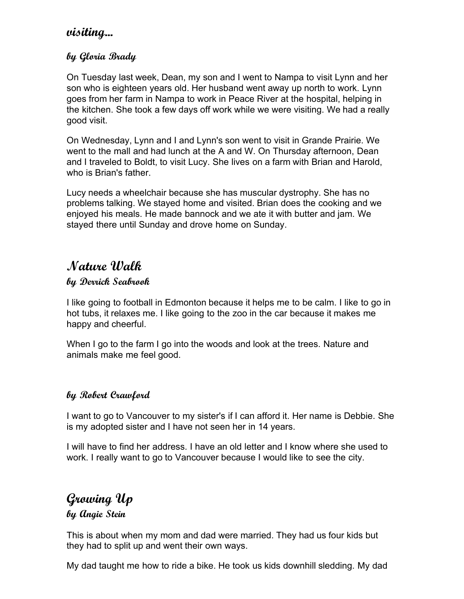### **visiting...**

### **by Gloria Brady**

On Tuesday last week, Dean, my son and I went to Nampa to visit Lynn and her son who is eighteen years old. Her husband went away up north to work. Lynn goes from her farm in Nampa to work in Peace River at the hospital, helping in the kitchen. She took a few days off work while we were visiting. We had a really good visit.

On Wednesday, Lynn and I and Lynn's son went to visit in Grande Prairie. We went to the mall and had lunch at the A and W. On Thursday afternoon, Dean and I traveled to Boldt, to visit Lucy. She lives on a farm with Brian and Harold, who is Brian's father.

Lucy needs a wheelchair because she has muscular dystrophy. She has no problems talking. We stayed home and visited. Brian does the cooking and we enjoyed his meals. He made bannock and we ate it with butter and jam. We stayed there until Sunday and drove home on Sunday.

# **Nature Walk**

#### **by Derrick Seabrook**

I like going to football in Edmonton because it helps me to be calm. I like to go in hot tubs, it relaxes me. I like going to the zoo in the car because it makes me happy and cheerful.

When I go to the farm I go into the woods and look at the trees. Nature and animals make me feel good.

#### **by Robert Crawford**

I want to go to Vancouver to my sister's if I can afford it. Her name is Debbie. She is my adopted sister and I have not seen her in 14 years.

I will have to find her address. I have an old letter and I know where she used to work. I really want to go to Vancouver because I would like to see the city.

# **Growing Up**

**by Angie Stein**

This is about when my mom and dad were married. They had us four kids but they had to split up and went their own ways.

My dad taught me how to ride a bike. He took us kids downhill sledding. My dad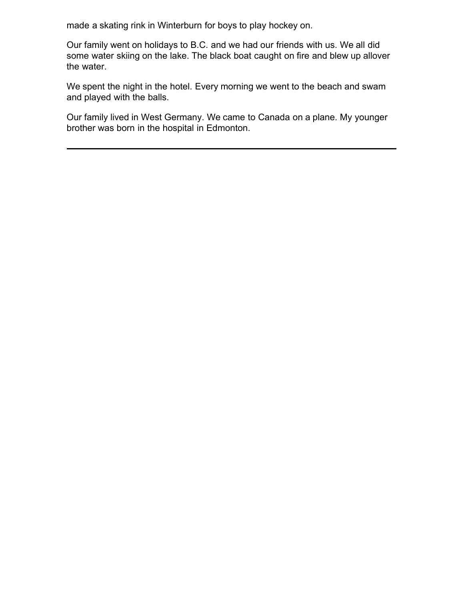made a skating rink in Winterburn for boys to play hockey on.

Our family went on holidays to B.C. and we had our friends with us. We all did some water skiing on the lake. The black boat caught on fire and blew up allover the water.

We spent the night in the hotel. Every morning we went to the beach and swam and played with the balls.

Our family lived in West Germany. We came to Canada on a plane. My younger brother was born in the hospital in Edmonton.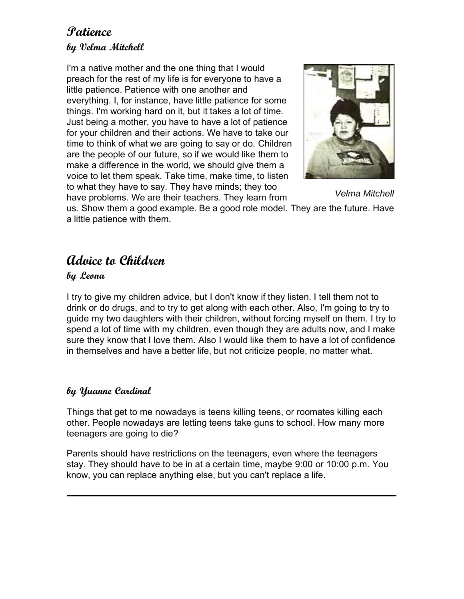### **Patience by Velma Mitchell**

I'm a native mother and the one thing that I would preach for the rest of my life is for everyone to have a little patience. Patience with one another and everything. I, for instance, have little patience for some things. I'm working hard on it, but it takes a lot of time. Just being a mother, you have to have a lot of patience for your children and their actions. We have to take our time to think of what we are going to say or do. Children are the people of our future, so if we would like them to make a difference in the world, we should give them a voice to let them speak. Take time, make time, to listen to what they have to say. They have minds; they too have problems. We are their teachers. They learn from



*Velma Mitchell*

us. Show them a good example. Be a good role model. They are the future. Have a little patience with them.

# **Advice to Children**

#### **by Leona**

I try to give my children advice, but I don't know if they listen. I tell them not to drink or do drugs, and to try to get along with each other. Also, I'm going to try to guide my two daughters with their children, without forcing myself on them. I try to spend a lot of time with my children, even though they are adults now, and I make sure they know that I love them. Also I would like them to have a lot of confidence in themselves and have a better life, but not criticize people, no matter what.

#### **by Yuanne Cardinal**

Things that get to me nowadays is teens killing teens, or roomates killing each other. People nowadays are letting teens take guns to school. How many more teenagers are going to die?

Parents should have restrictions on the teenagers, even where the teenagers stay. They should have to be in at a certain time, maybe 9:00 or 10:00 p.m. You know, you can replace anything else, but you can't replace a life.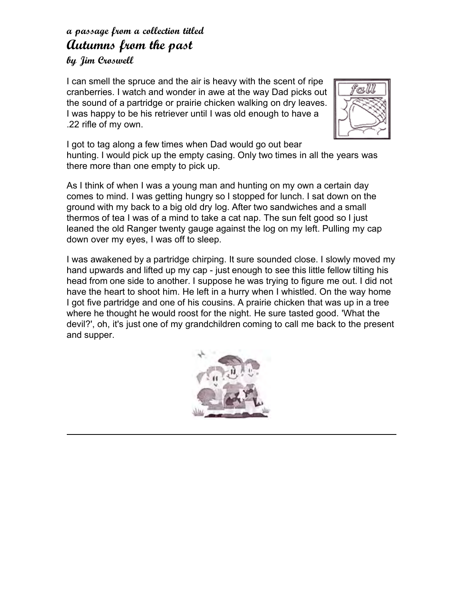# **a passage from a collection titled Autumns from the past**

### **by Jim Croswell**

I can smell the spruce and the air is heavy with the scent of ripe cranberries. I watch and wonder in awe at the way Dad picks out the sound of a partridge or prairie chicken walking on dry leaves. I was happy to be his retriever until I was old enough to have a .22 rifle of my own.



I got to tag along a few times when Dad would go out bear hunting. I would pick up the empty casing. Only two times in all the years was there more than one empty to pick up.

As I think of when I was a young man and hunting on my own a certain day comes to mind. I was getting hungry so I stopped for lunch. I sat down on the ground with my back to a big old dry log. After two sandwiches and a small thermos of tea I was of a mind to take a cat nap. The sun felt good so I just leaned the old Ranger twenty gauge against the log on my left. Pulling my cap down over my eyes, I was off to sleep.

I was awakened by a partridge chirping. It sure sounded close. I slowly moved my hand upwards and lifted up my cap - just enough to see this little fellow tilting his head from one side to another. I suppose he was trying to figure me out. I did not have the heart to shoot him. He left in a hurry when I whistled. On the way home I got five partridge and one of his cousins. A prairie chicken that was up in a tree where he thought he would roost for the night. He sure tasted good. 'What the devil?', oh, it's just one of my grandchildren coming to call me back to the present and supper.

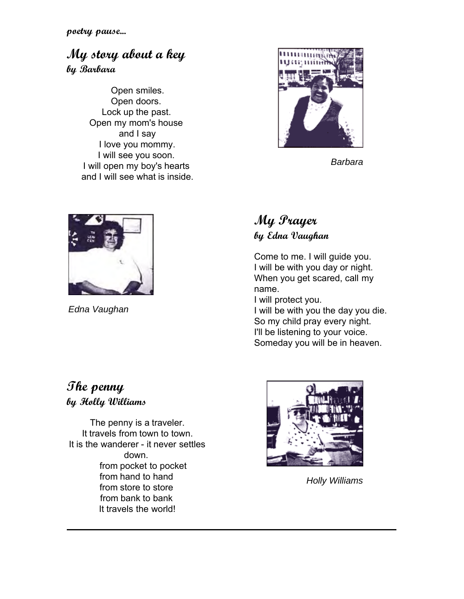**poetry pause...**

## **My story about a key by Barbara**

Open smiles. Open doors. Lock up the past. Open my mom's house and I say I love you mommy. I will see you soon. I will open my boy's hearts and I will see what is inside.



*Barbara*



*Edna Vaughan*

# **My Prayer by Edna Vaughan**

Come to me. I will guide you. I will be with you day or night. When you get scared, call my name.

I will protect you. I will be with you the day you die. So my child pray every night. I'll be listening to your voice.

Someday you will be in heaven.

### **The penny by Holly Williams**

The penny is a traveler. It travels from town to town. It is the wanderer - it never settles down. from pocket to pocket from hand to hand from store to store from bank to bank It travels the world!



*Holly Williams*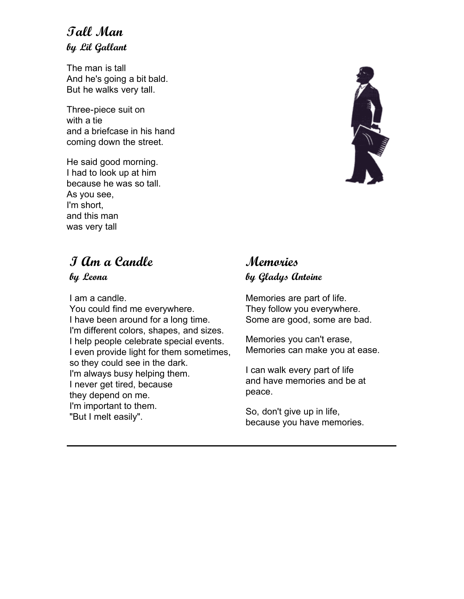## **Tall Man by Lil Gallant**

The man is tall And he's going a bit bald. But he walks very tall.

Three-piece suit on with a tie and a briefcase in his hand coming down the street.

He said good morning. I had to look up at him because he was so tall. As you see, I'm short, and this man was very tall

# **I Am a Candle**

**by Leona**

I am a candle. You could find me everywhere. I have been around for a long time. I'm different colors, shapes, and sizes. I help people celebrate special events. I even provide light for them sometimes, so they could see in the dark. I'm always busy helping them. I never get tired, because they depend on me. I'm important to them. "But I melt easily".

# **Memories by Gladys Antoine**

Memories are part of life. They follow you everywhere. Some are good, some are bad.

Memories you can't erase, Memories can make you at ease.

I can walk every part of life and have memories and be at peace.

So, don't give up in life, because you have memories.

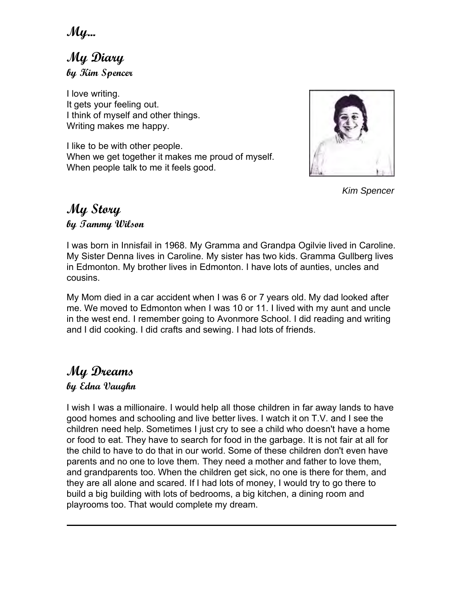**My...**

**My Diary by Kim Spencer**

I love writing. It gets your feeling out. I think of myself and other things. Writing makes me happy.

I like to be with other people. When we get together it makes me proud of myself. When people talk to me it feels good.



*Kim Spencer*

### **My Story by Tammy Wilson**

I was born in Innisfail in 1968. My Gramma and Grandpa Ogilvie lived in Caroline. My Sister Denna lives in Caroline. My sister has two kids. Gramma Gullberg lives in Edmonton. My brother lives in Edmonton. I have lots of aunties, uncles and cousins.

My Mom died in a car accident when I was 6 or 7 years old. My dad looked after me. We moved to Edmonton when I was 10 or 11. I lived with my aunt and uncle in the west end. I remember going to Avonmore School. I did reading and writing and I did cooking. I did crafts and sewing. I had lots of friends.

# **My Dreams**

### **by Edna Vaughn**

I wish I was a millionaire. I would help all those children in far away lands to have good homes and schooling and live better lives. I watch it on T.V. and I see the children need help. Sometimes I just cry to see a child who doesn't have a home or food to eat. They have to search for food in the garbage. It is not fair at all for the child to have to do that in our world. Some of these children don't even have parents and no one to love them. They need a mother and father to love them, and grandparents too. When the children get sick, no one is there for them, and they are all alone and scared. If I had lots of money, I would try to go there to build a big building with lots of bedrooms, a big kitchen, a dining room and playrooms too. That would complete my dream.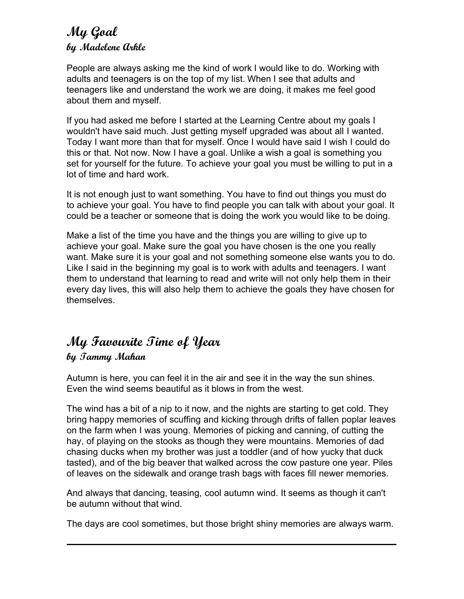### **My Goal by Madelene Arkle**

People are always asking me the kind of work I would like to do. Working with adults and teenagers is on the top of my list. When I see that adults and teenagers like and understand the work we are doing, it makes me feel good about them and myself.

If you had asked me before I started at the Learning Centre about my goals I wouldn't have said much. Just getting myself upgraded was about all I wanted. Today I want more than that for myself. Once I would have said I wish I could do this or that. Not now. Now I have a goal. Unlike a wish a goal is something you set for yourself for the future. To achieve your goal you must be willing to put in a lot of time and hard work.

It is not enough just to want something. You have to find out things you must do to achieve your goal. You have to find people you can talk with about your goal. It could be a teacher or someone that is doing the work you would like to be doing.

Make a list of the time you have and the things you are willing to give up to achieve your goal. Make sure the goal you have chosen is the one you really want. Make sure it is your goal and not something someone else wants you to do. Like I said in the beginning my goal is to work with adults and teenagers. I want them to understand that learning to read and write will not only help them in their every day lives, this will also help them to achieve the goals they have chosen for themselves.

### **My Favourite Time of Year by Tammy Mahan**

Autumn is here, you can feel it in the air and see it in the way the sun shines. Even the wind seems beautiful as it blows in from the west.

The wind has a bit of a nip to it now, and the nights are starting to get cold. They bring happy memories of scuffing and kicking through drifts of fallen poplar leaves on the farm when I was young. Memories of picking and canning, of cutting the hay, of playing on the stooks as though they were mountains. Memories of dad chasing ducks when my brother was just a toddler (and of how yucky that duck tasted), and of the big beaver that walked across the cow pasture one year. Piles of leaves on the sidewalk and orange trash bags with faces fill newer memories.

And always that dancing, teasing, cool autumn wind. It seems as though it can't be autumn without that wind.

The days are cool sometimes, but those bright shiny memories are always warm.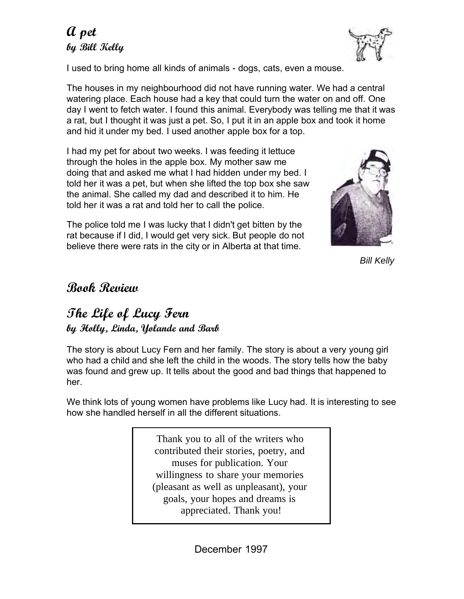# **A pet by Bill Kelly**



I used to bring home all kinds of animals - dogs, cats, even a mouse.

The houses in my neighbourhood did not have running water. We had a central watering place. Each house had a key that could turn the water on and off. One day I went to fetch water. I found this animal. Everybody was telling me that it was a rat, but I thought it was just a pet. So, I put it in an apple box and took it home and hid it under my bed. I used another apple box for a top.

I had my pet for about two weeks. I was feeding it lettuce through the holes in the apple box. My mother saw me doing that and asked me what I had hidden under my bed. I told her it was a pet, but when she lifted the top box she saw the animal. She called my dad and described it to him. He told her it was a rat and told her to call the police.

The police told me I was lucky that I didn't get bitten by the rat because if I did, I would get very sick. But people do not believe there were rats in the city or in Alberta at that time.



*Bill Kelly*

### **Book Review**

### **The Life of Lucy Fern by Holly, Linda, Yolande and Barb**

The story is about Lucy Fern and her family. The story is about a very young girl who had a child and she left the child in the woods. The story tells how the baby was found and grew up. It tells about the good and bad things that happened to her.

We think lots of young women have problems like Lucy had. It is interesting to see how she handled herself in all the different situations.

> Thank you to all of the writers who contributed their stories, poetry, and muses for publication. Your willingness to share your memories (pleasant as well as unpleasant), your goals, your hopes and dreams is appreciated. Thank you!